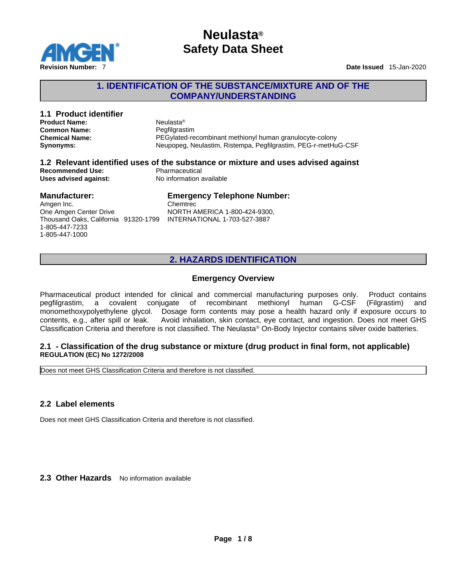

## **1. IDENTIFICATION OF THE SUBSTANCE/MIXTURE AND OF THE COMPANY/UNDERSTANDING**

| 1.1 Product identifier<br><b>Product Name:</b><br><b>Common Name:</b><br><b>Chemical Name:</b><br>Synonyms:            | Neulasta <sup>®</sup><br>Pegfilgrastim<br>PEGylated-recombinant methionyl human granulocyte-colony<br>Neupopeg, Neulastim, Ristempa, Pegfilgrastim, PEG-r-metHuG-CSF |  |
|------------------------------------------------------------------------------------------------------------------------|----------------------------------------------------------------------------------------------------------------------------------------------------------------------|--|
| <b>Recommended Use:</b><br>Uses advised against:                                                                       | 1.2 Relevant identified uses of the substance or mixture and uses advised against<br>Pharmaceutical<br>No information available                                      |  |
| <b>Manufacturer:</b><br>Amgen Inc.<br>One Amgen Center Drive<br>Thousand Oaks, California 91320-1799<br>1-805-447-7233 | <b>Emergency Telephone Number:</b><br>Chemtrec<br>NORTH AMERICA 1-800-424-9300,<br>INTERNATIONAL 1-703-527-3887                                                      |  |

## **2. HAZARDS IDENTIFICATION**

#### **Emergency Overview**

Pharmaceutical product intended for clinical and commercial manufacturing purposes only. Product contains pegfilgrastim, a covalent conjugate of recombinant methionyl human G-CSF (Filgrastim) and monomethoxypolyethylene glycol. Dosage form contents may pose a health hazard only if exposure occurs to contents, e.g., after spill or leak. Avoid inhalation, skin contact, eye contact, and ingestion. Does not meet GHS Classification Criteria and therefore isnot classified. The Neulasta <sup>Ò</sup> On-Body Injector contains silver oxide batteries.

#### **2.1 - Classification of the drug substance or mixture (drug product in final form, not applicable) REGULATION (EC) No 1272/2008**

Does not meet GHS Classification Criteria and therefore is not classified.

### **2.2 Label elements**

1-805-447-1000

Does not meet GHS Classification Criteria and therefore is not classified.

**2.3 Other Hazards** No information available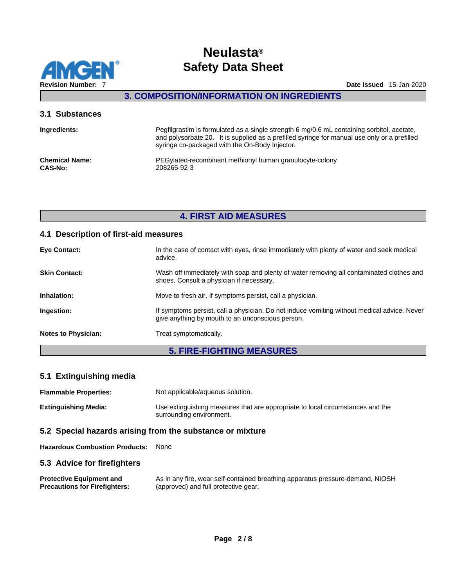

## **3. COMPOSITION/INFORMATION ON INGREDIENTS**

#### **3.1 Substances**

| Ingredients:          | Pegfilgrastim is formulated as a single strength 6 mg/0.6 mL containing sorbitol, acetate,<br>and polysorbate 20. It is supplied as a prefilled syringe for manual use only or a prefilled<br>syringe co-packaged with the On-Body Injector. |
|-----------------------|----------------------------------------------------------------------------------------------------------------------------------------------------------------------------------------------------------------------------------------------|
| <b>Chemical Name:</b> | PEGylated-recombinant methionyl human granulocyte-colony                                                                                                                                                                                     |
| <b>CAS-No:</b>        | 208265-92-3                                                                                                                                                                                                                                  |

## **4. FIRST AID MEASURES**

### **4.1 Description of first-aid measures**

|                            | <b>5. FIRE-FIGHTING MEASURES</b>                                                                                                                |
|----------------------------|-------------------------------------------------------------------------------------------------------------------------------------------------|
| <b>Notes to Physician:</b> | Treat symptomatically.                                                                                                                          |
| Ingestion:                 | If symptoms persist, call a physician. Do not induce vomiting without medical advice. Never<br>give anything by mouth to an unconscious person. |
| Inhalation:                | Move to fresh air. If symptoms persist, call a physician.                                                                                       |
| <b>Skin Contact:</b>       | Wash off immediately with soap and plenty of water removing all contaminated clothes and<br>shoes. Consult a physician if necessary.            |
| <b>Eye Contact:</b>        | In the case of contact with eyes, rinse immediately with plenty of water and seek medical<br>advice.                                            |
|                            |                                                                                                                                                 |

### **5.1 Extinguishing media**

| <b>Flammable Properties:</b> | Not applicable/aqueous solution.                                                                           |
|------------------------------|------------------------------------------------------------------------------------------------------------|
| <b>Extinguishing Media:</b>  | Use extinguishing measures that are appropriate to local circumstances and the<br>surrounding environment. |

#### **5.2 Special hazards arising from the substance or mixture**

**Hazardous Combustion Products:** None

#### **5.3 Advice for firefighters**

| <b>Protective Equipment and</b>      | As in any fire, wear self-contained breathing apparatus pressure-demand, NIOSH |
|--------------------------------------|--------------------------------------------------------------------------------|
| <b>Precautions for Firefighters:</b> | (approved) and full protective gear.                                           |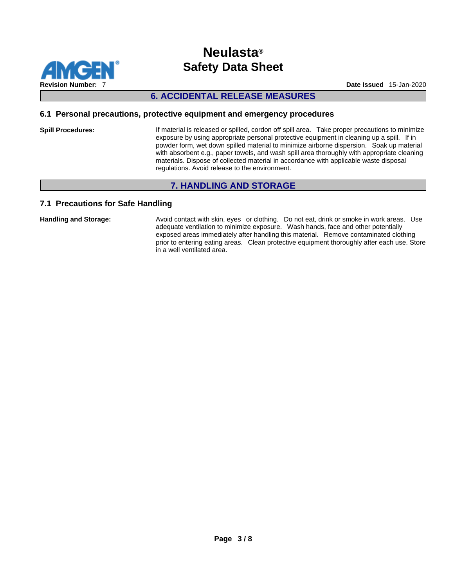

## **6. ACCIDENTAL RELEASE MEASURES**

#### **6.1 Personal precautions, protective equipment and emergency procedures**

**Spill Procedures:** If material is released or spilled, cordon off spill area. Take proper precautions to minimize exposure by using appropriate personal protective equipment in cleaning up a spill. If in powder form, wet down spilled material to minimize airborne dispersion. Soak up material with absorbent e.g., paper towels, and wash spill area thoroughly with appropriate cleaning materials. Dispose of collected material in accordance with applicable waste disposal regulations. Avoid release to the environment.

## **7. HANDLING AND STORAGE**

### **7.1 Precautions for Safe Handling**

Handling and Storage: **Avoid contact with skin, eyes** or clothing. Do not eat, drink or smoke in work areas. Use adequate ventilation to minimize exposure. Wash hands, face and other potentially exposed areas immediately after handling this material. Remove contaminated clothing prior to entering eating areas. Clean protective equipment thoroughly after each use. Store in a well ventilated area.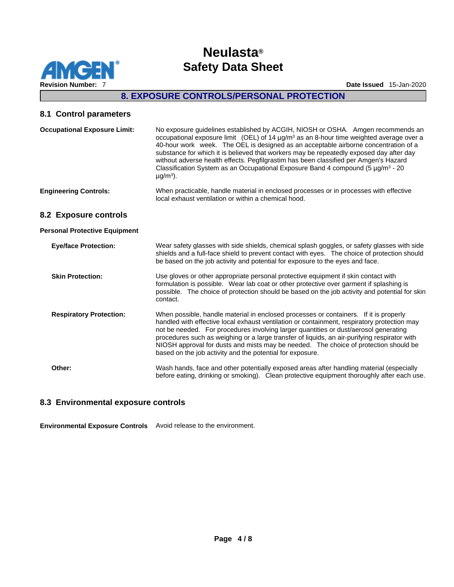

## **8. EXPOSURE CONTROLS/PERSONAL PROTECTION**

## **8.1 Control parameters**

| <b>Occupational Exposure Limit:</b>  | No exposure guidelines established by ACGIH, NIOSH or OSHA. Amgen recommends an<br>occupational exposure limit (OEL) of 14 $\mu q/m^3$ as an 8-hour time weighted average over a<br>40-hour work week. The OEL is designed as an acceptable airborne concentration of a<br>substance for which it is believed that workers may be repeatedly exposed day after day<br>without adverse health effects. Pegfilgrastim has been classified per Amgen's Hazard<br>Classification System as an Occupational Exposure Band 4 compound (5 $\mu$ g/m <sup>3</sup> - 20<br>$\mu$ g/m <sup>3</sup> ). |
|--------------------------------------|---------------------------------------------------------------------------------------------------------------------------------------------------------------------------------------------------------------------------------------------------------------------------------------------------------------------------------------------------------------------------------------------------------------------------------------------------------------------------------------------------------------------------------------------------------------------------------------------|
| <b>Engineering Controls:</b>         | When practicable, handle material in enclosed processes or in processes with effective<br>local exhaust ventilation or within a chemical hood.                                                                                                                                                                                                                                                                                                                                                                                                                                              |
| 8.2 Exposure controls                |                                                                                                                                                                                                                                                                                                                                                                                                                                                                                                                                                                                             |
| <b>Personal Protective Equipment</b> |                                                                                                                                                                                                                                                                                                                                                                                                                                                                                                                                                                                             |
| <b>Eye/face Protection:</b>          | Wear safety glasses with side shields, chemical splash goggles, or safety glasses with side<br>shields and a full-face shield to prevent contact with eyes. The choice of protection should<br>be based on the job activity and potential for exposure to the eyes and face.                                                                                                                                                                                                                                                                                                                |
| <b>Skin Protection:</b>              | Use gloves or other appropriate personal protective equipment if skin contact with<br>formulation is possible. Wear lab coat or other protective over garment if splashing is<br>possible. The choice of protection should be based on the job activity and potential for skin<br>contact.                                                                                                                                                                                                                                                                                                  |
| <b>Respiratory Protection:</b>       | When possible, handle material in enclosed processes or containers. If it is properly<br>handled with effective local exhaust ventilation or containment, respiratory protection may<br>not be needed. For procedures involving larger quantities or dust/aerosol generating<br>procedures such as weighing or a large transfer of liquids, an air-purifying respirator with<br>NIOSH approval for dusts and mists may be needed. The choice of protection should be<br>based on the job activity and the potential for exposure.                                                           |
| Other:                               | Wash hands, face and other potentially exposed areas after handling material (especially                                                                                                                                                                                                                                                                                                                                                                                                                                                                                                    |

before eating, drinking or smoking). Clean protective equipment thoroughly after each use.

### **8.3 Environmental exposure controls**

**Environmental Exposure Controls** Avoid release to the environment.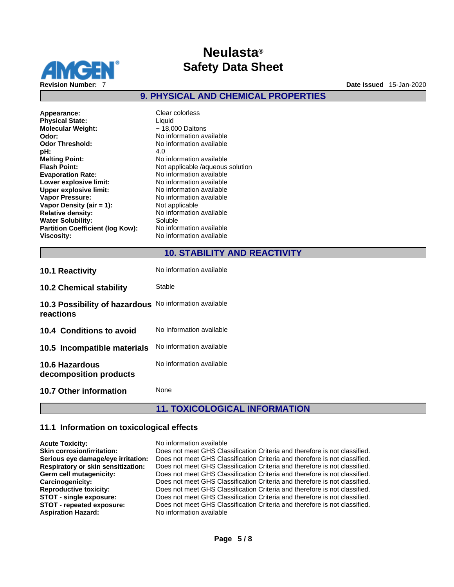

**9. PHYSICAL AND CHEMICAL PROPERTIES** 

**Appearance:** Clear colorless<br> **Physical State:** Clear Colorless **Physical State:** Liquid<br> **Molecular Weight:**  $\sim 18,000$  Daltons **Molecular Weight: Odor:**  $\overline{\phantom{a}}$  **Odor:**  $\overline{\phantom{a}}$  **No** information available **Odor Threshold:** No information available **pH:** 4.0 **Melting Point:** No information available<br> **Flash Point:** Not applicable /aqueous **Evaporation Rate:** No information available **Lower explosive limit:** No information available **Upper explosive limit:** No information available **Vapor Pressure:** No information available **Vapor Density (air = 1):** Not applicable **Relative density:** No information available<br> **Water Solubility:** Soluble Soluble **Water Solubility:** Soluble<br> **Partition Coefficient (log Kow):** No information available **Partition Coefficient (log Kow): Viscosity:** No information available

**Odor Threshold:** No information available **Flash Point:** Not applicable /aqueous solution

## **10. STABILITY AND REACTIVITY**

| <b>10.1 Reactivity</b>                          | No information available |
|-------------------------------------------------|--------------------------|
| <b>10.2 Chemical stability</b>                  | Stable                   |
| 10.3 Possibility of hazardous<br>reactions      | No information available |
| 10.4 Conditions to avoid                        | No Information available |
| 10.5 Incompatible materials                     | No information available |
| <b>10.6 Hazardous</b><br>decomposition products | No information available |
| <b>10.7 Other information</b>                   | None                     |

## **11. TOXICOLOGICAL INFORMATION**

### **11.1 Information on toxicological effects**

| <b>Acute Toxicity:</b>                    | No information available                                                   |
|-------------------------------------------|----------------------------------------------------------------------------|
| <b>Skin corrosion/irritation:</b>         | Does not meet GHS Classification Criteria and therefore is not classified. |
| Serious eye damage/eye irritation:        | Does not meet GHS Classification Criteria and therefore is not classified. |
| <b>Respiratory or skin sensitization:</b> | Does not meet GHS Classification Criteria and therefore is not classified. |
| Germ cell mutagenicity:                   | Does not meet GHS Classification Criteria and therefore is not classified. |
| Carcinogenicity:                          | Does not meet GHS Classification Criteria and therefore is not classified. |
| <b>Reproductive toxicity:</b>             | Does not meet GHS Classification Criteria and therefore is not classified. |
| STOT - single exposure:                   | Does not meet GHS Classification Criteria and therefore is not classified. |
| STOT - repeated exposure:                 | Does not meet GHS Classification Criteria and therefore is not classified. |
| <b>Aspiration Hazard:</b>                 | No information available                                                   |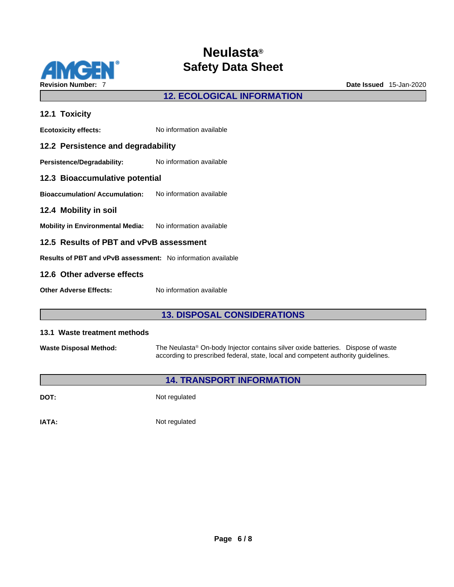

## **12. ECOLOGICAL INFORMATION**

| 12.1 Toxicity                                                       |                          |  |
|---------------------------------------------------------------------|--------------------------|--|
| <b>Ecotoxicity effects:</b>                                         | No information available |  |
| 12.2 Persistence and degradability                                  |                          |  |
| Persistence/Degradability:                                          | No information available |  |
| 12.3 Bioaccumulative potential                                      |                          |  |
| Bioaccumulation/ Accumulation:                                      | No information available |  |
| 12.4 Mobility in soil                                               |                          |  |
| Mobility in Environmental Media: No information available           |                          |  |
| 12.5 Results of PBT and vPvB assessment                             |                          |  |
| <b>Results of PBT and vPvB assessment:</b> No information available |                          |  |
| 12.6 Other adverse effects                                          |                          |  |
| <b>Other Adverse Effects:</b>                                       | No information available |  |

## **13. DISPOSAL CONSIDERATIONS**

#### **13.1 Waste treatment methods**

**Waste Disposal Method:** The Neulasta® On-body Injector contains silver oxide batteries. Dispose of waste according to prescribed federal, state, local and competent authority guidelines.

## **14. TRANSPORT INFORMATION**

**DOT:** Not regulated

**IATA:** Not regulated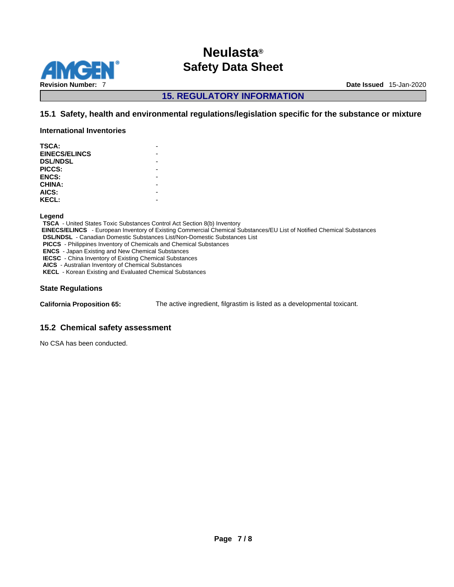

**15. REGULATORY INFORMATION** 

### **15.1 Safety, health and environmental regulations/legislation specific for the substance or mixture**

**International Inventories**

| <b>TSCA:</b>         |  |
|----------------------|--|
| <b>EINECS/ELINCS</b> |  |
| <b>DSL/NDSL</b>      |  |
| PICCS:               |  |
| <b>ENCS:</b>         |  |
| <b>CHINA:</b>        |  |
| AICS:                |  |
| <b>KECL:</b>         |  |
|                      |  |

**Legend** 

**TSCA** - United States Toxic Substances Control Act Section 8(b) Inventory  **EINECS/ELINCS** - European Inventory of Existing Commercial Chemical Substances/EU List of Notified Chemical Substances **DSL/NDSL** - Canadian Domestic Substances List/Non-Domestic Substances List **PICCS** - Philippines Inventory of Chemicals and Chemical Substances **ENCS** - Japan Existing and New Chemical Substances **IECSC** - China Inventory of Existing Chemical Substances **AICS** - Australian Inventory of Chemical Substances **KECL** - Korean Existing and Evaluated Chemical Substances

#### **State Regulations**

**California Proposition 65:** The active ingredient, filgrastim is listed as a developmental toxicant.

### **15.2 Chemical safety assessment**

No CSA has been conducted.